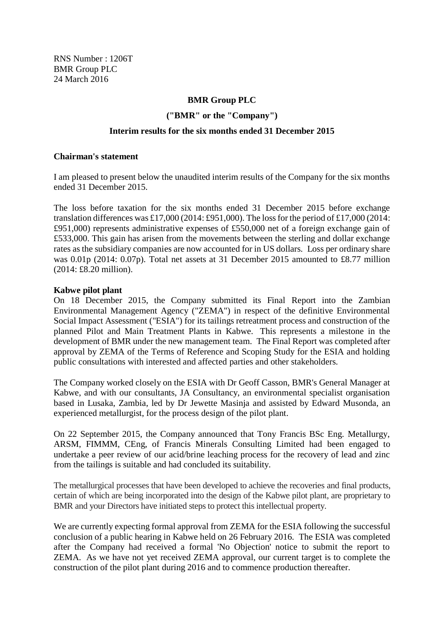RNS Number : 1206T BMR Group PLC 24 March 2016

# **BMR Group PLC**

#### **("BMR" or the "Company")**

#### **Interim results for the six months ended 31 December 2015**

#### **Chairman's statement**

I am pleased to present below the unaudited interim results of the Company for the six months ended 31 December 2015.

The loss before taxation for the six months ended 31 December 2015 before exchange translation differences was £17,000 (2014: £951,000). The loss for the period of £17,000 (2014: £951,000) represents administrative expenses of £550,000 net of a foreign exchange gain of £533,000. This gain has arisen from the movements between the sterling and dollar exchange rates as the subsidiary companies are now accounted for in US dollars. Loss per ordinary share was 0.01p (2014: 0.07p). Total net assets at 31 December 2015 amounted to £8.77 million (2014: £8.20 million).

#### **Kabwe pilot plant**

On 18 December 2015, the Company submitted its Final Report into the Zambian Environmental Management Agency ("ZEMA") in respect of the definitive Environmental Social Impact Assessment ("ESIA") for its tailings retreatment process and construction of the planned Pilot and Main Treatment Plants in Kabwe. This represents a milestone in the development of BMR under the new management team. The Final Report was completed after approval by ZEMA of the Terms of Reference and Scoping Study for the ESIA and holding public consultations with interested and affected parties and other stakeholders.

The Company worked closely on the ESIA with Dr Geoff Casson, BMR's General Manager at Kabwe, and with our consultants, JA Consultancy, an environmental specialist organisation based in Lusaka, Zambia, led by Dr Jewette Masinja and assisted by Edward Musonda, an experienced metallurgist, for the process design of the pilot plant.

On 22 September 2015, the Company announced that Tony Francis BSc Eng. Metallurgy, ARSM, FIMMM, CEng, of Francis Minerals Consulting Limited had been engaged to undertake a peer review of our acid/brine leaching process for the recovery of lead and zinc from the tailings is suitable and had concluded its suitability.

The metallurgical processes that have been developed to achieve the recoveries and final products, certain of which are being incorporated into the design of the Kabwe pilot plant, are proprietary to BMR and your Directors have initiated steps to protect this intellectual property.

We are currently expecting formal approval from ZEMA for the ESIA following the successful conclusion of a public hearing in Kabwe held on 26 February 2016. The ESIA was completed after the Company had received a formal 'No Objection' notice to submit the report to ZEMA. As we have not yet received ZEMA approval, our current target is to complete the construction of the pilot plant during 2016 and to commence production thereafter.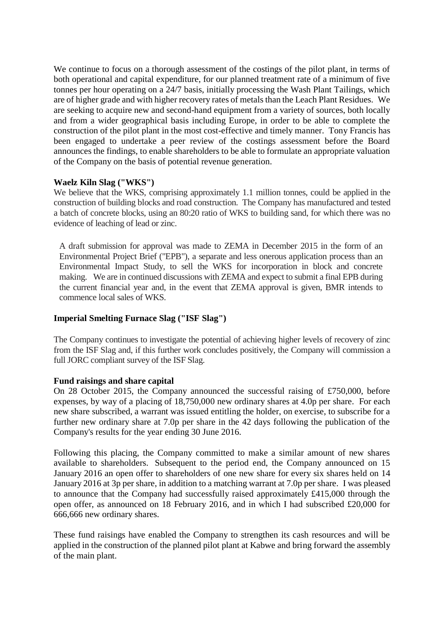We continue to focus on a thorough assessment of the costings of the pilot plant, in terms of both operational and capital expenditure, for our planned treatment rate of a minimum of five tonnes per hour operating on a 24/7 basis, initially processing the Wash Plant Tailings, which are of higher grade and with higher recovery rates of metals than the Leach Plant Residues. We are seeking to acquire new and second-hand equipment from a variety of sources, both locally and from a wider geographical basis including Europe, in order to be able to complete the construction of the pilot plant in the most cost-effective and timely manner. Tony Francis has been engaged to undertake a peer review of the costings assessment before the Board announces the findings, to enable shareholders to be able to formulate an appropriate valuation of the Company on the basis of potential revenue generation.

# **Waelz Kiln Slag ("WKS")**

We believe that the WKS, comprising approximately 1.1 million tonnes, could be applied in the construction of building blocks and road construction. The Company has manufactured and tested a batch of concrete blocks, using an 80:20 ratio of WKS to building sand, for which there was no evidence of leaching of lead or zinc.

A draft submission for approval was made to ZEMA in December 2015 in the form of an Environmental Project Brief ("EPB"), a separate and less onerous application process than an Environmental Impact Study, to sell the WKS for incorporation in block and concrete making. We are in continued discussions with ZEMA and expect to submit a final EPB during the current financial year and, in the event that ZEMA approval is given, BMR intends to commence local sales of WKS.

# **Imperial Smelting Furnace Slag ("ISF Slag")**

The Company continues to investigate the potential of achieving higher levels of recovery of zinc from the ISF Slag and, if this further work concludes positively, the Company will commission a full JORC compliant survey of the ISF Slag.

# **Fund raisings and share capital**

On 28 October 2015, the Company announced the successful raising of £750,000, before expenses, by way of a placing of 18,750,000 new ordinary shares at 4.0p per share. For each new share subscribed, a warrant was issued entitling the holder, on exercise, to subscribe for a further new ordinary share at 7.0p per share in the 42 days following the publication of the Company's results for the year ending 30 June 2016.

Following this placing, the Company committed to make a similar amount of new shares available to shareholders. Subsequent to the period end, the Company announced on 15 January 2016 an open offer to shareholders of one new share for every six shares held on 14 January 2016 at 3p per share, in addition to a matching warrant at 7.0p per share. I was pleased to announce that the Company had successfully raised approximately £415,000 through the open offer, as announced on 18 February 2016, and in which I had subscribed £20,000 for 666,666 new ordinary shares.

These fund raisings have enabled the Company to strengthen its cash resources and will be applied in the construction of the planned pilot plant at Kabwe and bring forward the assembly of the main plant.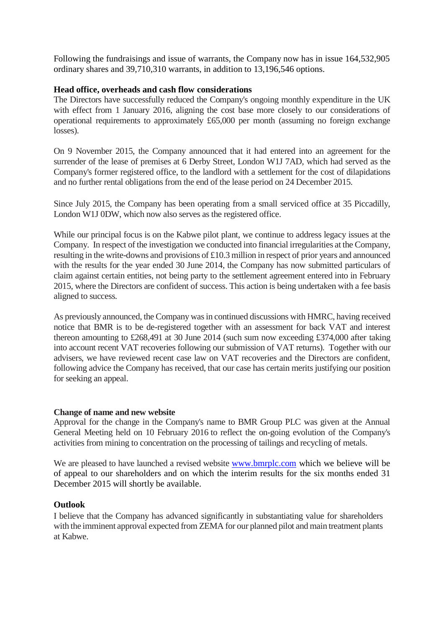Following the fundraisings and issue of warrants, the Company now has in issue 164,532,905 ordinary shares and 39,710,310 warrants, in addition to 13,196,546 options.

# **Head office, overheads and cash flow considerations**

The Directors have successfully reduced the Company's ongoing monthly expenditure in the UK with effect from 1 January 2016, aligning the cost base more closely to our considerations of operational requirements to approximately £65,000 per month (assuming no foreign exchange losses).

On 9 November 2015, the Company announced that it had entered into an agreement for the surrender of the lease of premises at 6 Derby Street, London W1J 7AD, which had served as the Company's former registered office, to the landlord with a settlement for the cost of dilapidations and no further rental obligations from the end of the lease period on 24 December 2015.

Since July 2015, the Company has been operating from a small serviced office at 35 Piccadilly, London W1J 0DW, which now also serves as the registered office.

While our principal focus is on the Kabwe pilot plant, we continue to address legacy issues at the Company. In respect of the investigation we conducted into financial irregularities at the Company, resulting in the write-downs and provisions of £10.3 million in respect of prior years and announced with the results for the year ended 30 June 2014, the Company has now submitted particulars of claim against certain entities, not being party to the settlement agreement entered into in February 2015, where the Directors are confident of success. This action is being undertaken with a fee basis aligned to success.

As previously announced, the Company was in continued discussions with HMRC, having received notice that BMR is to be de-registered together with an assessment for back VAT and interest thereon amounting to £268,491 at 30 June 2014 (such sum now exceeding £374,000 after taking into account recent VAT recoveries following our submission of VAT returns). Together with our advisers, we have reviewed recent case law on VAT recoveries and the Directors are confident, following advice the Company has received, that our case has certain merits justifying our position for seeking an appeal.

# **Change of name and new website**

Approval for the change in the Company's name to BMR Group PLC was given at the Annual General Meeting held on 10 February 2016 to reflect the on-going evolution of the Company's activities from mining to concentration on the processing of tailings and recycling of metals.

We are pleased to have launched a revised website [www.bmrplc.com](http://www.bmrplc.com/) which we believe will be of appeal to our shareholders and on which the interim results for the six months ended 31 December 2015 will shortly be available.

# **Outlook**

I believe that the Company has advanced significantly in substantiating value for shareholders with the imminent approval expected from ZEMA for our planned pilot and main treatment plants at Kabwe.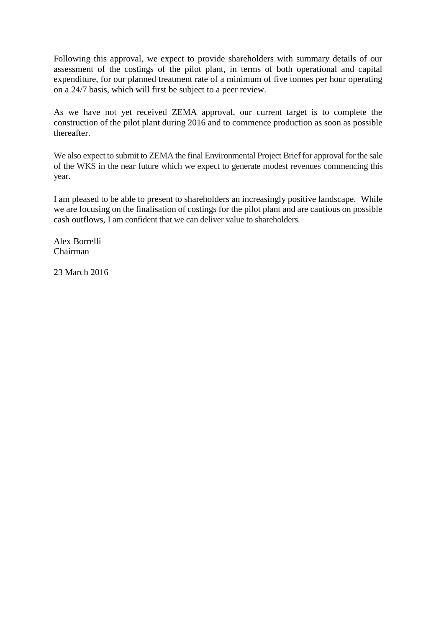Following this approval, we expect to provide shareholders with summary details of our assessment of the costings of the pilot plant, in terms of both operational and capital expenditure, for our planned treatment rate of a minimum of five tonnes per hour operating on a 24/7 basis, which will first be subject to a peer review.

As we have not yet received ZEMA approval, our current target is to complete the construction of the pilot plant during 2016 and to commence production as soon as possible thereafter.

We also expect to submit to ZEMA the final Environmental Project Brief for approval for the sale of the WKS in the near future which we expect to generate modest revenues commencing this year.

I am pleased to be able to present to shareholders an increasingly positive landscape. While we are focusing on the finalisation of costings for the pilot plant and are cautious on possible cash outflows, I am confident that we can deliver value to shareholders.

Alex Borrelli Chairman

23 March 2016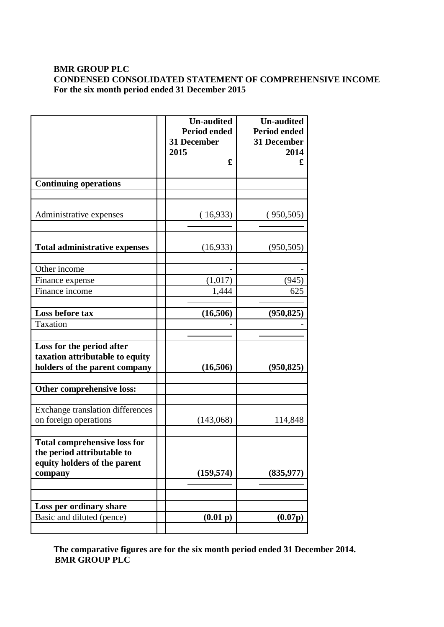# **BMR GROUP PLC CONDENSED CONSOLIDATED STATEMENT OF COMPREHENSIVE INCOME For the six month period ended 31 December 2015**

|                                                                                                              | <b>Un-audited</b><br><b>Period ended</b><br><b>31 December</b><br>2015<br>£ | <b>Un-audited</b><br><b>Period ended</b><br>31 December<br>2014<br>£ |
|--------------------------------------------------------------------------------------------------------------|-----------------------------------------------------------------------------|----------------------------------------------------------------------|
| <b>Continuing operations</b>                                                                                 |                                                                             |                                                                      |
|                                                                                                              |                                                                             |                                                                      |
| Administrative expenses                                                                                      | (16,933)                                                                    | (950, 505)                                                           |
| <b>Total administrative expenses</b>                                                                         | (16,933)                                                                    | (950, 505)                                                           |
| Other income                                                                                                 |                                                                             |                                                                      |
| Finance expense                                                                                              | (1,017)                                                                     | (945)                                                                |
| Finance income                                                                                               | 1,444                                                                       | 625                                                                  |
|                                                                                                              |                                                                             |                                                                      |
| Loss before tax                                                                                              | (16,506)                                                                    | (950, 825)                                                           |
| Taxation                                                                                                     |                                                                             |                                                                      |
| Loss for the period after<br>taxation attributable to equity<br>holders of the parent company                | (16,506)                                                                    | (950, 825)                                                           |
| Other comprehensive loss:                                                                                    |                                                                             |                                                                      |
| <b>Exchange translation differences</b><br>on foreign operations                                             | (143,068)                                                                   | 114,848                                                              |
| <b>Total comprehensive loss for</b><br>the period attributable to<br>equity holders of the parent<br>company | (159, 574)                                                                  | (835, 977)                                                           |
|                                                                                                              |                                                                             |                                                                      |
| Loss per ordinary share                                                                                      |                                                                             |                                                                      |
| Basic and diluted (pence)                                                                                    | (0.01 p)                                                                    | (0.07p)                                                              |
|                                                                                                              |                                                                             |                                                                      |

**The comparative figures are for the six month period ended 31 December 2014. BMR GROUP PLC**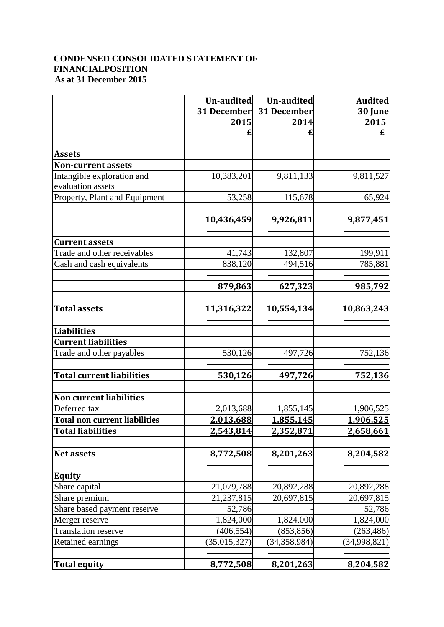# **CONDENSED CONSOLIDATED STATEMENT OF FINANCIALPOSITION As at 31 December 2015**

|                                      | Un-audited<br>31 December<br>2015 | Un-audited<br>31 December<br>2014 | <b>Audited</b><br>30 June<br>2015<br>£ |
|--------------------------------------|-----------------------------------|-----------------------------------|----------------------------------------|
|                                      |                                   |                                   |                                        |
| <b>Assets</b>                        |                                   |                                   |                                        |
| <b>Non-current assets</b>            |                                   |                                   |                                        |
| Intangible exploration and           | 10,383,201                        | 9,811,133                         | 9,811,527                              |
| evaluation assets                    |                                   |                                   |                                        |
| Property, Plant and Equipment        | 53,258                            | 115,678                           | 65,924                                 |
|                                      | 10,436,459                        | 9,926,811                         | 9,877,451                              |
| <b>Current assets</b>                |                                   |                                   |                                        |
| Trade and other receivables          | 41,743                            | 132,807                           | 199,911                                |
| Cash and cash equivalents            | 838,120                           | 494,516                           | 785,881                                |
|                                      |                                   |                                   |                                        |
|                                      | 879,863                           | 627,323                           | 985,792                                |
| <b>Total assets</b>                  | 11,316,322                        | 10,554,134                        | 10,863,243                             |
|                                      |                                   |                                   |                                        |
| Liabilities                          |                                   |                                   |                                        |
| <b>Current liabilities</b>           |                                   |                                   |                                        |
| Trade and other payables             | 530,126                           | 497,726                           | 752,136                                |
| <b>Total current liabilities</b>     | 530,126                           | 497,726                           | 752,136                                |
| <b>Non current liabilities</b>       |                                   |                                   |                                        |
| Deferred tax                         | 2,013,688                         | 1,855,145                         | 1,906,525                              |
| <b>Total non current liabilities</b> | 2,013,688                         | 1,855,145                         | 1,906,525                              |
| <b>Total liabilities</b>             | <u>2,543,814</u>                  | <u>2,352,871</u>                  | <u>2,658,661</u>                       |
| <b>Net assets</b>                    | 8,772,508                         | 8,201,263                         | 8,204,582                              |
|                                      |                                   |                                   |                                        |
| <b>Equity</b>                        |                                   |                                   |                                        |
| Share capital                        | 21,079,788                        | 20,892,288                        | 20,892,288                             |
| Share premium                        | 21,237,815                        | 20,697,815                        | 20,697,815                             |
| Share based payment reserve          | 52,786                            |                                   | 52,786                                 |
| Merger reserve                       | 1,824,000                         | 1,824,000                         | 1,824,000                              |
| Translation reserve                  | (406, 554)                        | (853, 856)                        | (263, 486)                             |
| <b>Retained earnings</b>             | (35, 015, 327)                    | (34,358,984)                      | (34,998,821)                           |
| Total equity                         | 8,772,508                         | 8,201,263                         | 8,204,582                              |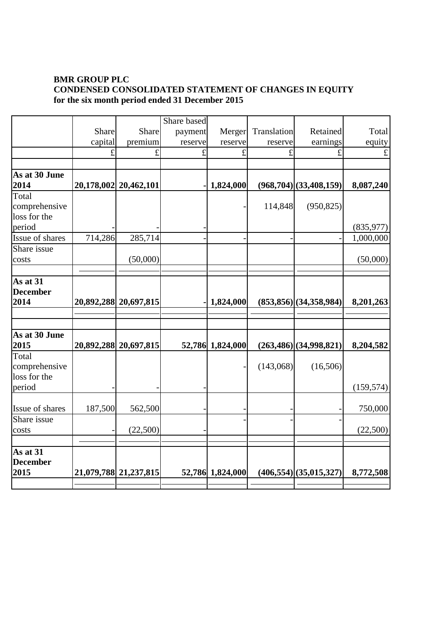# **BMR GROUP PLC CONDENSED CONSOLIDATED STATEMENT OF CHANGES IN EQUITY for the six month period ended 31 December 2015**

|                                                  |         |                       | Share based |                  |             |                               |            |
|--------------------------------------------------|---------|-----------------------|-------------|------------------|-------------|-------------------------------|------------|
|                                                  | Share   | Share                 | payment     | Merger           | Translation | Retained                      | Total      |
|                                                  | capital | premium               | reserve     | reserve          | reserve     | earnings                      | equity     |
|                                                  | £       | $\mathbf f$           | £           | £                | £           | £                             | $\pounds$  |
|                                                  |         |                       |             |                  |             |                               |            |
| As at 30 June                                    |         |                       |             |                  |             |                               |            |
| 2014                                             |         | 20,178,002 20,462,101 |             | 1,824,000        |             | (968,704)(33,408,159)         | 8,087,240  |
| Total<br>comprehensive<br>loss for the           |         |                       |             |                  | 114,848     | (950, 825)                    |            |
| period                                           |         |                       |             |                  |             |                               | (835, 977) |
| Issue of shares                                  | 714,286 | 285,714               |             |                  |             |                               | 1,000,000  |
| Share issue<br>costs                             |         | (50,000)              |             |                  |             |                               | (50,000)   |
| As at 31<br><b>December</b><br>2014              |         | 20,892,288 20,697,815 |             | 1,824,000        |             | (853,856)(34,358,984)         | 8,201,263  |
|                                                  |         |                       |             |                  |             |                               |            |
|                                                  |         |                       |             |                  |             |                               |            |
| As at 30 June<br>2015                            |         | 20,892,288 20,697,815 |             | 52,786 1,824,000 |             | (263,486)(34,998,821)         | 8,204,582  |
| Total<br>comprehensive<br>loss for the           |         |                       |             |                  | (143,068)   | (16,506)                      |            |
| period                                           |         |                       |             |                  |             |                               | (159, 574) |
| Issue of shares                                  | 187,500 | 562,500               |             |                  |             |                               | 750,000    |
| Share issue<br>costs                             |         | (22,500)              |             |                  |             |                               | (22,500)   |
| $\overline{As}$ at 31<br><b>December</b><br>2015 |         | 21,079,788 21,237,815 |             | 52,786 1,824,000 |             | $(406, 554)$ $(35, 015, 327)$ | 8,772,508  |
|                                                  |         |                       |             |                  |             |                               |            |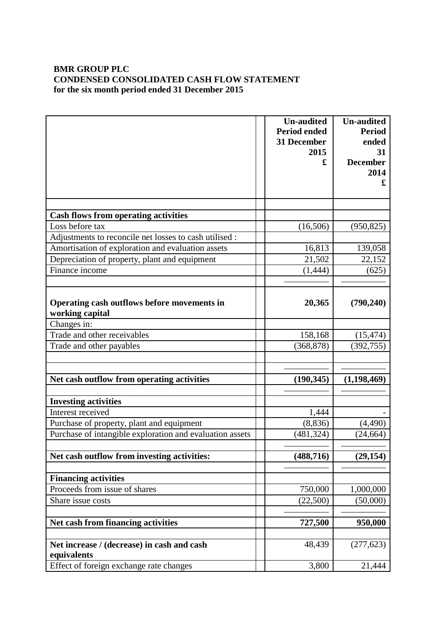# **BMR GROUP PLC CONDENSED CONSOLIDATED CASH FLOW STATEMENT for the six month period ended 31 December 2015**

|                                                                | <b>Un-audited</b><br><b>Period ended</b> | <b>Un-audited</b><br><b>Period</b> |
|----------------------------------------------------------------|------------------------------------------|------------------------------------|
|                                                                | 31 December<br>2015                      | ended<br>31                        |
|                                                                | £                                        | <b>December</b>                    |
|                                                                |                                          | 2014<br>£                          |
|                                                                |                                          |                                    |
|                                                                |                                          |                                    |
| <b>Cash flows from operating activities</b><br>Loss before tax | (16,506)                                 | (950, 825)                         |
| Adjustments to reconcile net losses to cash utilised :         |                                          |                                    |
| Amortisation of exploration and evaluation assets              | 16,813                                   | 139,058                            |
| Depreciation of property, plant and equipment                  | 21,502                                   | 22,152                             |
| Finance income                                                 | (1, 444)                                 | (625)                              |
|                                                                |                                          |                                    |
| Operating cash outflows before movements in<br>working capital | 20,365                                   | (790, 240)                         |
| Changes in:                                                    |                                          |                                    |
| Trade and other receivables                                    | 158,168                                  | (15, 474)                          |
| Trade and other payables                                       | (368, 878)                               | (392, 755)                         |
|                                                                |                                          |                                    |
| Net cash outflow from operating activities                     | (190, 345)                               | (1, 198, 469)                      |
|                                                                |                                          |                                    |
| <b>Investing activities</b>                                    |                                          |                                    |
| Interest received                                              | 1,444                                    |                                    |
| Purchase of property, plant and equipment                      | (8, 836)                                 | (4,490)                            |
| Purchase of intangible exploration and evaluation assets       | (481, 324)                               | (24, 664)                          |
| Net cash outflow from investing activities:                    | (488, 716)                               | (29, 154)                          |
|                                                                |                                          |                                    |
| <b>Financing activities</b>                                    |                                          |                                    |
| Proceeds from issue of shares                                  | 750,000                                  | 1,000,000                          |
| Share issue costs                                              | (22,500)                                 | (50,000)                           |
| Net cash from financing activities                             | 727,500                                  | 950,000                            |
|                                                                |                                          |                                    |
| Net increase / (decrease) in cash and cash<br>equivalents      | 48,439                                   | (277, 623)                         |
| Effect of foreign exchange rate changes                        | 3,800                                    | 21,444                             |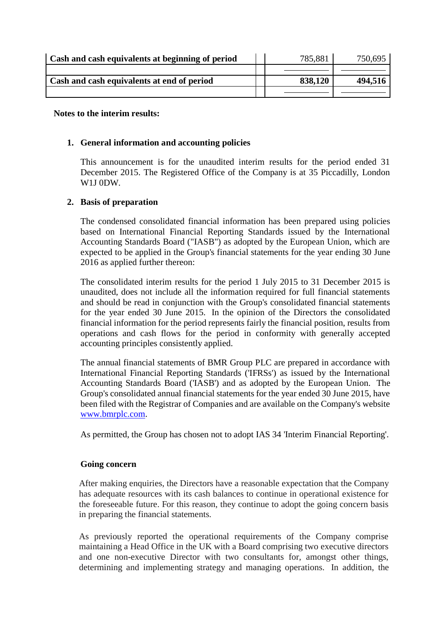| Cash and cash equivalents at beginning of period | 785,881 | 750,695 |
|--------------------------------------------------|---------|---------|
|                                                  |         |         |
| Cash and cash equivalents at end of period       | 838,120 | 494,516 |
|                                                  |         |         |

#### **Notes to the interim results:**

#### **1. General information and accounting policies**

This announcement is for the unaudited interim results for the period ended 31 December 2015. The Registered Office of the Company is at 35 Piccadilly, London W1J 0DW.

# **2. Basis of preparation**

The condensed consolidated financial information has been prepared using policies based on International Financial Reporting Standards issued by the International Accounting Standards Board ("IASB") as adopted by the European Union, which are expected to be applied in the Group's financial statements for the year ending 30 June 2016 as applied further thereon:

The consolidated interim results for the period 1 July 2015 to 31 December 2015 is unaudited, does not include all the information required for full financial statements and should be read in conjunction with the Group's consolidated financial statements for the year ended 30 June 2015. In the opinion of the Directors the consolidated financial information for the period represents fairly the financial position, results from operations and cash flows for the period in conformity with generally accepted accounting principles consistently applied.

The annual financial statements of BMR Group PLC are prepared in accordance with International Financial Reporting Standards ('IFRSs') as issued by the International Accounting Standards Board ('IASB') and as adopted by the European Union. The Group's consolidated annual financial statements for the year ended 30 June 2015, have been filed with the Registrar of Companies and are available on the Company's website [www.bmrplc.com.](http://www.bmrplc.com/)

As permitted, the Group has chosen not to adopt IAS 34 'Interim Financial Reporting'.

#### **Going concern**

After making enquiries, the Directors have a reasonable expectation that the Company has adequate resources with its cash balances to continue in operational existence for the foreseeable future. For this reason, they continue to adopt the going concern basis in preparing the financial statements.

As previously reported the operational requirements of the Company comprise maintaining a Head Office in the UK with a Board comprising two executive directors and one non-executive Director with two consultants for, amongst other things, determining and implementing strategy and managing operations. In addition, the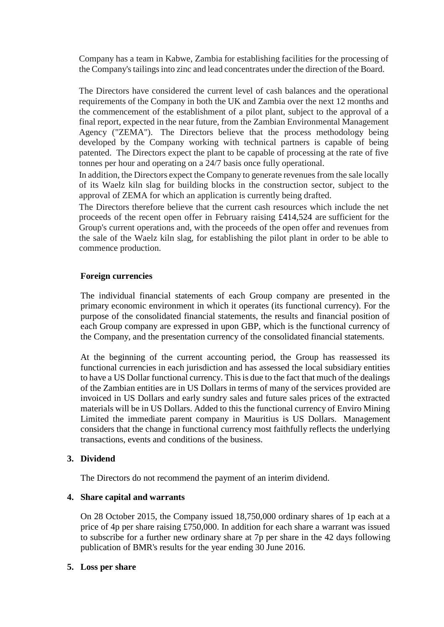Company has a team in Kabwe, Zambia for establishing facilities for the processing of the Company's tailings into zinc and lead concentrates under the direction of the Board.

The Directors have considered the current level of cash balances and the operational requirements of the Company in both the UK and Zambia over the next 12 months and the commencement of the establishment of a pilot plant, subject to the approval of a final report, expected in the near future, from the Zambian Environmental Management Agency ("ZEMA"). The Directors believe that the process methodology being developed by the Company working with technical partners is capable of being patented. The Directors expect the plant to be capable of processing at the rate of five tonnes per hour and operating on a 24/7 basis once fully operational.

In addition, the Directors expect the Company to generate revenues from the sale locally of its Waelz kiln slag for building blocks in the construction sector, subject to the approval of ZEMA for which an application is currently being drafted.

The Directors therefore believe that the current cash resources which include the net proceeds of the recent open offer in February raising £414,524 are sufficient for the Group's current operations and, with the proceeds of the open offer and revenues from the sale of the Waelz kiln slag, for establishing the pilot plant in order to be able to commence production.

# **Foreign currencies**

The individual financial statements of each Group company are presented in the primary economic environment in which it operates (its functional currency). For the purpose of the consolidated financial statements, the results and financial position of each Group company are expressed in upon GBP, which is the functional currency of the Company, and the presentation currency of the consolidated financial statements.

At the beginning of the current accounting period, the Group has reassessed its functional currencies in each jurisdiction and has assessed the local subsidiary entities to have a US Dollar functional currency. This is due to the fact that much of the dealings of the Zambian entities are in US Dollars in terms of many of the services provided are invoiced in US Dollars and early sundry sales and future sales prices of the extracted materials will be in US Dollars. Added to this the functional currency of Enviro Mining Limited the immediate parent company in Mauritius is US Dollars. Management considers that the change in functional currency most faithfully reflects the underlying transactions, events and conditions of the business.

# **3. Dividend**

The Directors do not recommend the payment of an interim dividend.

# **4. Share capital and warrants**

On 28 October 2015, the Company issued 18,750,000 ordinary shares of 1p each at a price of 4p per share raising £750,000. In addition for each share a warrant was issued to subscribe for a further new ordinary share at 7p per share in the 42 days following publication of BMR's results for the year ending 30 June 2016.

# **5. Loss per share**